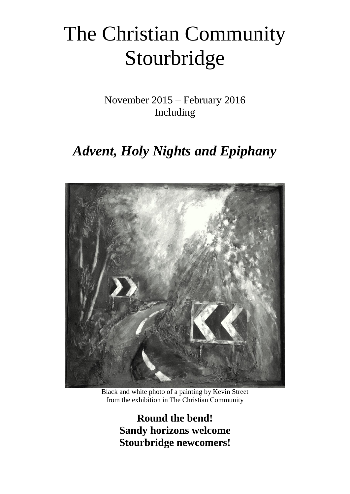# The Christian Community Stourbridge

November 2015 – February 2016 Including

## *Advent, Holy Nights and Epiphany*



Black and white photo of a painting by Kevin Street from the exhibition in The Christian Community

**Round the bend! Sandy horizons welcome Stourbridge newcomers!**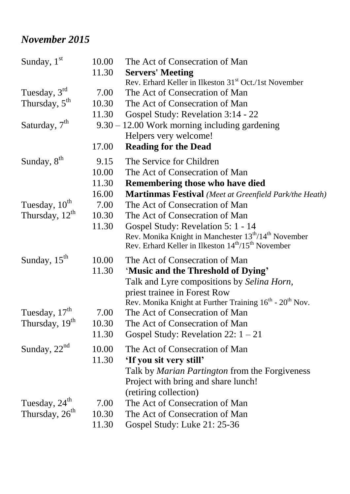### *November 2015*

| Sunday, $1st$              | 10.00 | The Act of Consecration of Man                                                  |
|----------------------------|-------|---------------------------------------------------------------------------------|
|                            | 11.30 | <b>Servers' Meeting</b>                                                         |
|                            |       | Rev. Erhard Keller in Ilkeston 31 <sup>st</sup> Oct./1st November               |
| Tuesday, $3rd$             | 7.00  | The Act of Consecration of Man                                                  |
| Thursday, $5th$            | 10.30 | The Act of Consecration of Man                                                  |
|                            | 11.30 | Gospel Study: Revelation 3:14 - 22                                              |
| Saturday, $7th$            |       | $9.30 - 12.00$ Work morning including gardening                                 |
|                            |       | Helpers very welcome!                                                           |
|                            | 17.00 | <b>Reading for the Dead</b>                                                     |
| Sunday, 8 <sup>th</sup>    | 9.15  | The Service for Children                                                        |
|                            | 10.00 | The Act of Consecration of Man                                                  |
|                            | 11.30 | <b>Remembering those who have died</b>                                          |
|                            | 16.00 | <b>Martinmas Festival</b> (Meet at Greenfield Park/the Heath)                   |
| Tuesday, 10 <sup>th</sup>  | 7.00  | The Act of Consecration of Man                                                  |
| Thursday, $12^{th}$        | 10.30 | The Act of Consecration of Man                                                  |
|                            | 11.30 | Gospel Study: Revelation 5: 1 - 14                                              |
|                            |       | Rev. Monika Knight in Manchester $13^{th}/14^{th}$ November                     |
|                            |       | Rev. Erhard Keller in Ilkeston 14 <sup>th</sup> /15 <sup>th</sup> November      |
| Sunday, $15th$             | 10.00 | The Act of Consecration of Man                                                  |
|                            | 11.30 | 'Music and the Threshold of Dying'                                              |
|                            |       | Talk and Lyre compositions by Selina Horn,                                      |
|                            |       | priest trainee in Forest Row                                                    |
|                            |       | Rev. Monika Knight at Further Training 16 <sup>th</sup> - 20 <sup>th</sup> Nov. |
| Tuesday, 17 <sup>th</sup>  | 7.00  | The Act of Consecration of Man                                                  |
| Thursday, 19 <sup>th</sup> | 10.30 | The Act of Consecration of Man                                                  |
|                            | 11.30 | Gospel Study: Revelation 22: $1 - 21$                                           |
| Sunday, $22nd$             | 10.00 | The Act of Consecration of Man                                                  |
|                            | 11.30 | 'If you sit very still'                                                         |
|                            |       | Talk by <i>Marian Partington</i> from the Forgiveness                           |
|                            |       | Project with bring and share lunch!                                             |
|                            |       | (retiring collection)                                                           |
| Tuesday, 24 <sup>th</sup>  | 7.00  | The Act of Consecration of Man                                                  |
| Thursday, $26th$           | 10.30 | The Act of Consecration of Man                                                  |
|                            | 11.30 | Gospel Study: Luke 21: 25-36                                                    |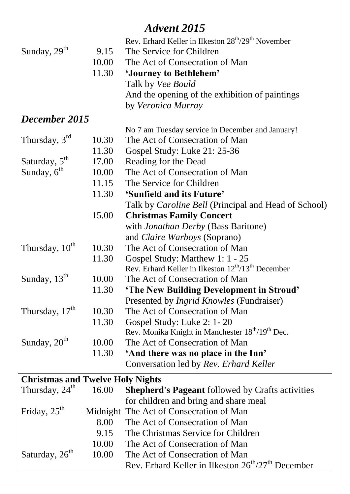### *Advent 2015*

|                                         |       | Rev. Erhard Keller in Ilkeston 28 <sup>th</sup> /29 <sup>th</sup> November |
|-----------------------------------------|-------|----------------------------------------------------------------------------|
| Sunday, 29 <sup>th</sup>                | 9.15  | The Service for Children                                                   |
|                                         | 10.00 | The Act of Consecration of Man                                             |
|                                         | 11.30 | 'Journey to Bethlehem'                                                     |
|                                         |       | Talk by <i>Vee Bould</i>                                                   |
|                                         |       | And the opening of the exhibition of paintings                             |
|                                         |       | by Veronica Murray                                                         |
| December 2015                           |       |                                                                            |
|                                         |       | No 7 am Tuesday service in December and January!                           |
| Thursday, $3rd$                         | 10.30 | The Act of Consecration of Man                                             |
|                                         | 11.30 | Gospel Study: Luke 21: 25-36                                               |
| Saturday, 5 <sup>th</sup>               | 17.00 | Reading for the Dead                                                       |
| Sunday, $6th$                           | 10.00 | The Act of Consecration of Man                                             |
|                                         | 11.15 | The Service for Children                                                   |
|                                         | 11.30 | 'Sunfield and its Future'                                                  |
|                                         |       | Talk by <i>Caroline Bell</i> (Principal and Head of School)                |
|                                         | 15.00 | <b>Christmas Family Concert</b>                                            |
|                                         |       | with <i>Jonathan Derby</i> (Bass Baritone)                                 |
|                                         |       | and <i>Claire Warboys</i> (Soprano)                                        |
| Thursday, 10 <sup>th</sup>              | 10.30 | The Act of Consecration of Man                                             |
|                                         | 11.30 | Gospel Study: Matthew 1: 1 - 25                                            |
|                                         |       | Rev. Erhard Keller in Ilkeston $12^{th}/13^{th}$ December                  |
| Sunday, 13 <sup>th</sup>                | 10.00 | The Act of Consecration of Man                                             |
|                                         | 11.30 | 'The New Building Development in Stroud'                                   |
|                                         |       | Presented by <i>Ingrid Knowles</i> (Fundraiser)                            |
| Thursday, 17 <sup>th</sup>              | 10.30 | The Act of Consecration of Man                                             |
|                                         | 11.30 | Gospel Study: Luke 2: 1 - 20                                               |
|                                         |       | Rev. Monika Knight in Manchester 18 <sup>th</sup> /19 <sup>th</sup> Dec.   |
| Sunday, 20 <sup>th</sup>                | 10.00 | The Act of Consecration of Man                                             |
|                                         | 11.30 | 'And there was no place in the Inn'                                        |
|                                         |       | Conversation led by Rev. Erhard Keller                                     |
| <b>Christmas and Twelve Holy Nights</b> |       |                                                                            |
| Thursday, $24th$                        | 16.00 | <b>Shepherd's Pageant</b> followed by Crafts activities                    |
|                                         |       | for children and bring and share meal                                      |
| Friday, $25th$                          |       | Midnight The Act of Consecration of Man                                    |
|                                         | 8.00  | The Act of Consecration of Man                                             |
|                                         | 9.15  | The Christmas Service for Children                                         |
|                                         | 10.00 | The Act of Consecration of Man                                             |
| Saturday, 26 <sup>th</sup>              | 10.00 | The Act of Consecration of Man                                             |
|                                         |       | Rev. Erhard Keller in Ilkeston 26 <sup>th</sup> /27 <sup>th</sup> December |
|                                         |       |                                                                            |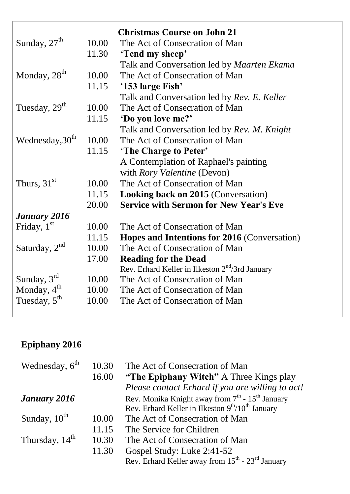|                             |       | <b>Christmas Course on John 21</b>                  |
|-----------------------------|-------|-----------------------------------------------------|
| Sunday, $27th$              | 10.00 | The Act of Consecration of Man                      |
|                             | 11.30 | 'Tend my sheep'                                     |
|                             |       | Talk and Conversation led by Maarten Ekama          |
| Monday, 28 <sup>th</sup>    | 10.00 | The Act of Consecration of Man                      |
|                             | 11.15 | '153 large Fish'                                    |
|                             |       | Talk and Conversation led by Rev. E. Keller         |
| Tuesday, 29 <sup>th</sup>   | 10.00 | The Act of Consecration of Man                      |
|                             | 11.15 | 'Do you love me?'                                   |
|                             |       | Talk and Conversation led by Rev. M. Knight         |
| Wednesday, 30 <sup>th</sup> | 10.00 | The Act of Consecration of Man                      |
|                             | 11.15 | 'The Charge to Peter'                               |
|                             |       | A Contemplation of Raphael's painting               |
|                             |       | with <i>Rory Valentine</i> (Devon)                  |
| Thurs, $31st$               | 10.00 | The Act of Consecration of Man                      |
|                             | 11.15 | <b>Looking back on 2015 (Conversation)</b>          |
|                             | 20.00 | <b>Service with Sermon for New Year's Eve</b>       |
| January 2016                |       |                                                     |
| Friday, $1st$               | 10.00 | The Act of Consecration of Man                      |
|                             | 11.15 | <b>Hopes and Intentions for 2016 (Conversation)</b> |
| Saturday, $2nd$             | 10.00 | The Act of Consecration of Man                      |
|                             | 17.00 | <b>Reading for the Dead</b>                         |
|                             |       | Rev. Erhard Keller in Ilkeston $2nd/3$ rd January   |
| Sunday, $3rd$               | 10.00 | The Act of Consecration of Man                      |
| Monday, $4^{\text{th}}$     | 10.00 | The Act of Consecration of Man                      |
| Tuesday, $5^{\text{th}}$    | 10.00 | The Act of Consecration of Man                      |

### **Epiphany 2016**

| Wednesday, $6th$         | 10.30 | The Act of Consecration of Man                                           |
|--------------------------|-------|--------------------------------------------------------------------------|
|                          | 16.00 | "The Epiphany Witch" A Three Kings play                                  |
|                          |       | Please contact Erhard if you are willing to act!                         |
| January 2016             |       | Rev. Monika Knight away from $7th$ - 15 <sup>th</sup> January            |
|                          |       | Rev. Erhard Keller in Ilkeston 9 <sup>th</sup> /10 <sup>th</sup> January |
| Sunday, $10^{\text{th}}$ | 10.00 | The Act of Consecration of Man                                           |
|                          | 11.15 | The Service for Children                                                 |
| Thursday, $14th$         | 10.30 | The Act of Consecration of Man                                           |
|                          | 11.30 | Gospel Study: Luke 2:41-52                                               |
|                          |       | Rev. Erhard Keller away from 15 <sup>th</sup> - 23 <sup>rd</sup> January |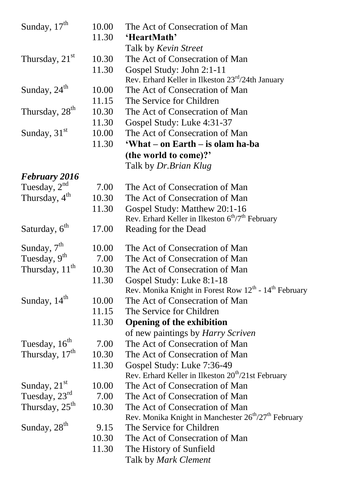| Sunday, 17 <sup>th</sup>   | 10.00<br>11.30 | The Act of Consecration of Man<br>'HeartMath'                                |
|----------------------------|----------------|------------------------------------------------------------------------------|
|                            |                | Talk by Kevin Street                                                         |
| Thursday, $21st$           | 10.30          | The Act of Consecration of Man                                               |
|                            | 11.30          | Gospel Study: John 2:1-11                                                    |
|                            |                | Rev. Erhard Keller in Ilkeston $23^{rd}/24$ th January                       |
| Sunday, $24th$             | 10.00          | The Act of Consecration of Man                                               |
|                            | 11.15          | The Service for Children                                                     |
| Thursday, 28 <sup>th</sup> | 10.30          | The Act of Consecration of Man                                               |
|                            | 11.30          | Gospel Study: Luke 4:31-37                                                   |
| Sunday, $31st$             | 10.00          | The Act of Consecration of Man                                               |
|                            | 11.30          | 'What – on Earth – is olam ha-ba                                             |
|                            |                | (the world to come)?'                                                        |
|                            |                | Talk by Dr. Brian Klug                                                       |
| <b>February 2016</b>       |                |                                                                              |
| Tuesday, $2^{nd}$          | 7.00           | The Act of Consecration of Man                                               |
| Thursday, 4 <sup>th</sup>  | 10.30          | The Act of Consecration of Man                                               |
|                            | 11.30          | Gospel Study: Matthew 20:1-16                                                |
|                            |                | Rev. Erhard Keller in Ilkeston $6th/7th$ February                            |
| Saturday, 6 <sup>th</sup>  | 17.00          | Reading for the Dead                                                         |
| Sunday, $7th$              | 10.00          | The Act of Consecration of Man                                               |
| Tuesday, 9 <sup>th</sup>   | 7.00           | The Act of Consecration of Man                                               |
| Thursday, 11 <sup>th</sup> | 10.30          | The Act of Consecration of Man                                               |
|                            | 11.30          | Gospel Study: Luke 8:1-18                                                    |
|                            |                | Rev. Monika Knight in Forest Row $12^{th}$ - $14^{th}$ February              |
| Sunday, 14 <sup>th</sup>   | 10.00          | The Act of Consecration of Man                                               |
|                            | 11.15          | The Service for Children                                                     |
|                            | 11.30          | <b>Opening of the exhibition</b>                                             |
|                            |                | of new paintings by <i>Harry Scriven</i>                                     |
| Tuesday, 16 <sup>th</sup>  | 7.00           | The Act of Consecration of Man                                               |
| Thursday, 17 <sup>th</sup> | 10.30          | The Act of Consecration of Man                                               |
|                            | 11.30          | Gospel Study: Luke 7:36-49                                                   |
|                            |                | Rev. Erhard Keller in Ilkeston 20 <sup>th</sup> /21st February               |
| Sunday, $21st$             | 10.00          | The Act of Consecration of Man                                               |
| Tuesday, $23^{\text{rd}}$  | 7.00           | The Act of Consecration of Man                                               |
| Thursday, $25^{\text{th}}$ | 10.30          | The Act of Consecration of Man                                               |
|                            |                | Rev. Monika Knight in Manchester 26 <sup>th</sup> /27 <sup>th</sup> February |
| Sunday, 28 <sup>th</sup>   | 9.15           | The Service for Children                                                     |
|                            | 10.30          | The Act of Consecration of Man                                               |
|                            | 11.30          | The History of Sunfield                                                      |
|                            |                | Talk by <i>Mark Clement</i>                                                  |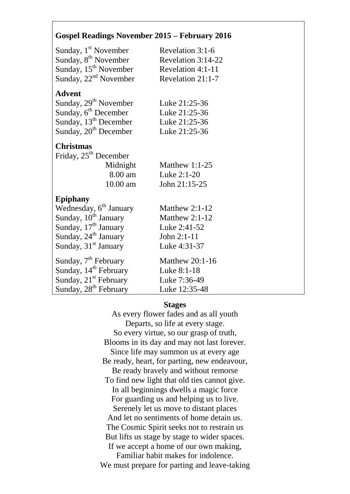#### **Gospel Readings November 2015 – February 2016**

| Revelation 3:1-6       |
|------------------------|
| Revelation 3:14-22     |
| Revelation 4:1-11      |
| Revelation 21:1-7      |
|                        |
| Luke 21:25-36          |
| Luke 21:25-36          |
| Luke 21:25-36          |
| Luke 21:25-36          |
|                        |
|                        |
| Matthew $1:1-25$       |
|                        |
| Luke 2:1-20            |
| John 21:15-25          |
|                        |
| Matthew $2:1-12$       |
| Matthew $2:1-12$       |
| Luke 2:41-52           |
| John 2:1-11            |
| Luke 4:31-37           |
| <b>Matthew 20:1-16</b> |
| Luke 8:1-18            |
| Luke 7:36-49           |
| Luke 12:35-48          |
|                        |

#### **Stages**

As every flower fades and as all youth Departs, so life at every stage. So every virtue, so our grasp of truth, Blooms in its day and may not last forever. Since life may summon us at every age Be ready, heart, for parting, new endeavour, Be ready bravely and without remorse To find new light that old ties cannot give. In all beginnings dwells a magic force For guarding us and helping us to live. Serenely let us move to distant places And let no sentiments of home detain us. The Cosmic Spirit seeks not to restrain us But lifts us stage by stage to wider spaces. If we accept a home of our own making, Familiar habit makes for indolence. We must prepare for parting and leave-taking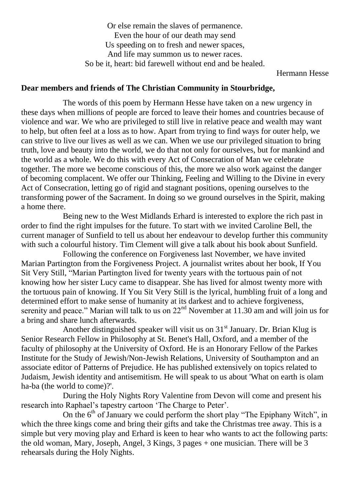Or else remain the slaves of permanence. Even the hour of our death may send Us speeding on to fresh and newer spaces, And life may summon us to newer races. So be it, heart: bid farewell without end and be healed.

Hermann Hesse

#### **Dear members and friends of The Christian Community in Stourbridge,**

The words of this poem by Hermann Hesse have taken on a new urgency in these days when millions of people are forced to leave their homes and countries because of violence and war. We who are privileged to still live in relative peace and wealth may want to help, but often feel at a loss as to how. Apart from trying to find ways for outer help, we can strive to live our lives as well as we can. When we use our privileged situation to bring truth, love and beauty into the world, we do that not only for ourselves, but for mankind and the world as a whole. We do this with every Act of Consecration of Man we celebrate together. The more we become conscious of this, the more we also work against the danger of becoming complacent. We offer our Thinking, Feeling and Willing to the Divine in every Act of Consecration, letting go of rigid and stagnant positions, opening ourselves to the transforming power of the Sacrament. In doing so we ground ourselves in the Spirit, making a home there.

Being new to the West Midlands Erhard is interested to explore the rich past in order to find the right impulses for the future. To start with we invited Caroline Bell, the current manager of Sunfield to tell us about her endeavour to develop further this community with such a colourful history. Tim Clement will give a talk about his book about Sunfield.

Following the conference on Forgiveness last November, we have invited Marian Partington from the Forgiveness Project. A journalist writes about her book, If You Sit Very Still, "Marian Partington lived for twenty years with the tortuous pain of not knowing how her sister Lucy came to disappear. She has lived for almost twenty more with the tortuous pain of knowing. If You Sit Very Still is the lyrical, humbling fruit of a long and determined effort to make sense of humanity at its darkest and to achieve forgiveness, serenity and peace." Marian will talk to us on  $22<sup>nd</sup>$  November at 11.30 am and will join us for a bring and share lunch afterwards.

Another distinguished speaker will visit us on  $31<sup>st</sup>$  January. Dr. Brian Klug is Senior Research Fellow in Philosophy at St. Benet's Hall, Oxford, and a member of the faculty of philosophy at the University of Oxford. He is an Honorary Fellow of the Parkes Institute for the Study of Jewish/Non-Jewish Relations, University of Southampton and an associate editor of Patterns of Prejudice. He has published extensively on topics related to Judaism, Jewish identity and antisemitism. He will speak to us about 'What on earth is olam ha-ba (the world to come)?'.

During the Holy Nights Rory Valentine from Devon will come and present his research into Raphael's tapestry cartoon 'The Charge to Peter'.

On the  $6<sup>th</sup>$  of January we could perform the short play "The Epiphany Witch", in which the three kings come and bring their gifts and take the Christmas tree away. This is a simple but very moving play and Erhard is keen to hear who wants to act the following parts: the old woman, Mary, Joseph, Angel, 3 Kings, 3 pages + one musician. There will be 3 rehearsals during the Holy Nights.